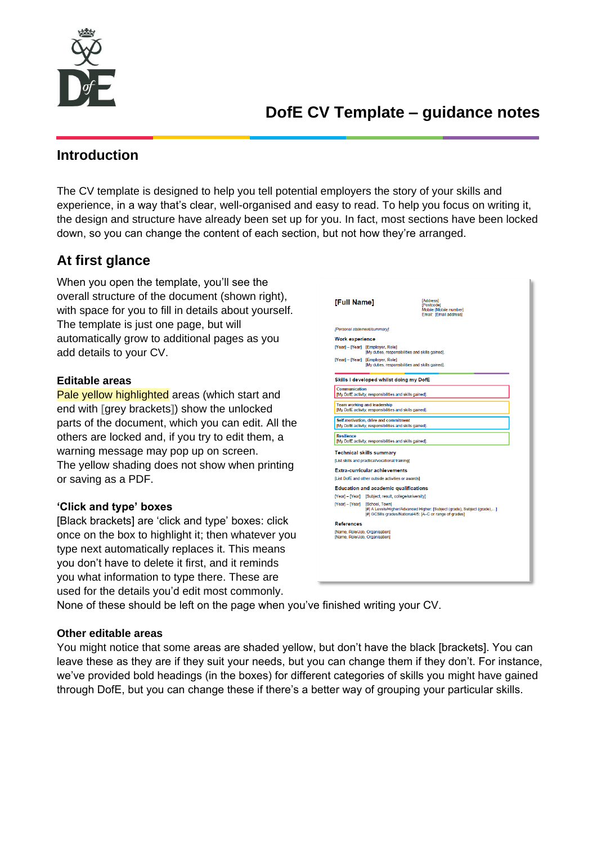

## **Introduction**

The CV template is designed to help you tell potential employers the story of your skills and experience, in a way that's clear, well-organised and easy to read. To help you focus on writing it, the design and structure have already been set up for you. In fact, most sections have been locked down, so you can change the content of each section, but not how they're arranged.

# **At first glance**

When you open the template, you'll see the overall structure of the document (shown right), with space for you to fill in details about yourself. The template is just one page, but will automatically grow to additional pages as you add details to your CV.

### **Editable areas**

Pale yellow highlighted areas (which start and end with **[**grey brackets**]**) show the unlocked parts of the document, which you can edit. All the others are locked and, if you try to edit them, a warning message may pop up on screen. The yellow shading does not show when printing or saving as a PDF.

### **'Click and type' boxes**

[Black brackets] are 'click and type' boxes: click once on the box to highlight it; then whatever you type next automatically replaces it. This means you don't have to delete it first, and it reminds you what information to type there. These are used for the details you'd edit most commonly.

| [Full Name]                                                      | <b>[Address]</b><br>[Postcode]<br>Mobile: [Mobile number]<br>Email: [Email address]                                                                                  |  |  |  |  |  |  |  |  |  |
|------------------------------------------------------------------|----------------------------------------------------------------------------------------------------------------------------------------------------------------------|--|--|--|--|--|--|--|--|--|
| [Personal statement/summary].                                    |                                                                                                                                                                      |  |  |  |  |  |  |  |  |  |
| <b>Work experience</b>                                           |                                                                                                                                                                      |  |  |  |  |  |  |  |  |  |
|                                                                  | [Year] - [Year] [Employer, Role]<br>[My duties, responsibilities and skills gained].                                                                                 |  |  |  |  |  |  |  |  |  |
|                                                                  | [Year] - [Year] [Employer, Role]<br>[My duties, responsibilities and skills gained].                                                                                 |  |  |  |  |  |  |  |  |  |
|                                                                  | Skills I developed whilst doing my DofE                                                                                                                              |  |  |  |  |  |  |  |  |  |
| Communication                                                    | [My DofE activity, responsibilities and skills gained].                                                                                                              |  |  |  |  |  |  |  |  |  |
|                                                                  | <b>Team working and leadership</b><br>[My DofE activity, responsibilities and skills gained].                                                                        |  |  |  |  |  |  |  |  |  |
|                                                                  | Self-motivation, drive and commitment<br>IMv DofE activity, responsibilities and skills gained].                                                                     |  |  |  |  |  |  |  |  |  |
| <b>Resilience</b>                                                | [My DofE activity, responsibilities and skills gained].                                                                                                              |  |  |  |  |  |  |  |  |  |
|                                                                  | <b>Technical skills summary</b>                                                                                                                                      |  |  |  |  |  |  |  |  |  |
|                                                                  | [List skills and practical/vocational training]                                                                                                                      |  |  |  |  |  |  |  |  |  |
|                                                                  | Extra-curricular achievements                                                                                                                                        |  |  |  |  |  |  |  |  |  |
|                                                                  | [List DofE and other outside activities or awards]                                                                                                                   |  |  |  |  |  |  |  |  |  |
|                                                                  | <b>Education and academic qualifications</b>                                                                                                                         |  |  |  |  |  |  |  |  |  |
|                                                                  | [Year] - [Year] [Subject, result, college/university]                                                                                                                |  |  |  |  |  |  |  |  |  |
|                                                                  | [Year] - [Year] [School, Town]<br>[#] A Levels/Higher/Advanced Higher: [Subject (grade), Subject (grade),]<br>[#] GCSEs grades/National4/5: [A-C or range of grades] |  |  |  |  |  |  |  |  |  |
| <b>References</b>                                                |                                                                                                                                                                      |  |  |  |  |  |  |  |  |  |
| [Name, Role/Job, Organisation]<br>[Name, Role/Job, Organisation] |                                                                                                                                                                      |  |  |  |  |  |  |  |  |  |
|                                                                  |                                                                                                                                                                      |  |  |  |  |  |  |  |  |  |
|                                                                  |                                                                                                                                                                      |  |  |  |  |  |  |  |  |  |

None of these should be left on the page when you've finished writing your CV.

### **Other editable areas**

You might notice that some areas are shaded yellow, but don't have the black [brackets]. You can leave these as they are if they suit your needs, but you can change them if they don't. For instance, we've provided bold headings (in the boxes) for different categories of skills you might have gained through DofE, but you can change these if there's a better way of grouping your particular skills.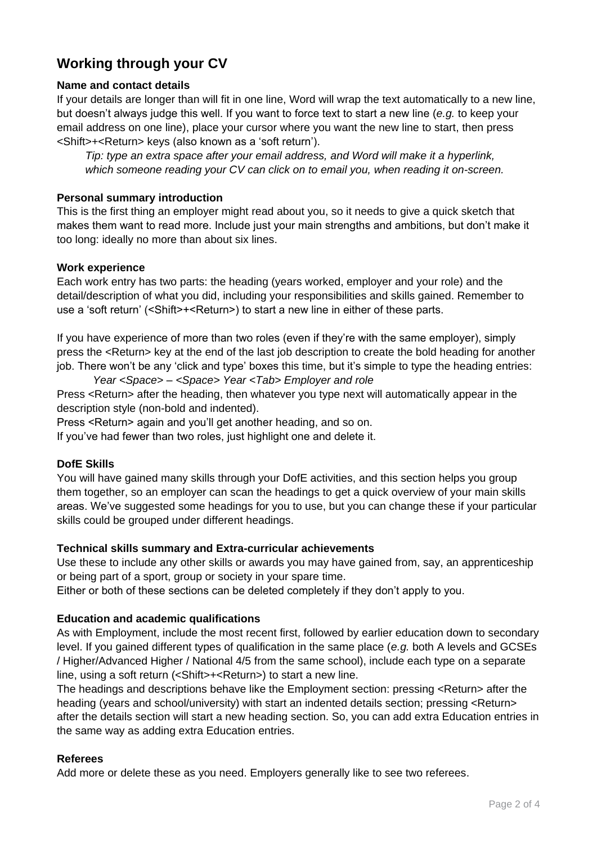## **Working through your CV**

### **Name and contact details**

If your details are longer than will fit in one line, Word will wrap the text automatically to a new line, but doesn't always judge this well. If you want to force text to start a new line (*e.g.* to keep your email address on one line), place your cursor where you want the new line to start, then press <Shift>+<Return> keys (also known as a 'soft return').

*Tip: type an extra space after your email address, and Word will make it a hyperlink, which someone reading your CV can click on to email you, when reading it on-screen.*

#### **Personal summary introduction**

This is the first thing an employer might read about you, so it needs to give a quick sketch that makes them want to read more. Include just your main strengths and ambitions, but don't make it too long: ideally no more than about six lines.

#### **Work experience**

Each work entry has two parts: the heading (years worked, employer and your role) and the detail/description of what you did, including your responsibilities and skills gained. Remember to use a 'soft return' (<Shift>+<Return>) to start a new line in either of these parts.

If you have experience of more than two roles (even if they're with the same employer), simply press the <Return> key at the end of the last job description to create the bold heading for another job. There won't be any 'click and type' boxes this time, but it's simple to type the heading entries:

*Year <Space> – <Space> Year <Tab> Employer and role* Press <Return> after the heading, then whatever you type next will automatically appear in the

description style (non-bold and indented).

Press <Return> again and you'll get another heading, and so on.

If you've had fewer than two roles, just highlight one and delete it.

### **DofE Skills**

You will have gained many skills through your DofE activities, and this section helps you group them together, so an employer can scan the headings to get a quick overview of your main skills areas. We've suggested some headings for you to use, but you can change these if your particular skills could be grouped under different headings.

### **Technical skills summary and Extra-curricular achievements**

Use these to include any other skills or awards you may have gained from, say, an apprenticeship or being part of a sport, group or society in your spare time.

Either or both of these sections can be deleted completely if they don't apply to you.

### **Education and academic qualifications**

As with Employment, include the most recent first, followed by earlier education down to secondary level. If you gained different types of qualification in the same place (*e.g.* both A levels and GCSEs / Higher/Advanced Higher / National 4/5 from the same school), include each type on a separate line, using a soft return (<Shift>+<Return>) to start a new line.

The headings and descriptions behave like the Employment section: pressing <Return> after the heading (years and school/university) with start an indented details section; pressing <Return> after the details section will start a new heading section. So, you can add extra Education entries in the same way as adding extra Education entries.

#### **Referees**

Add more or delete these as you need. Employers generally like to see two referees.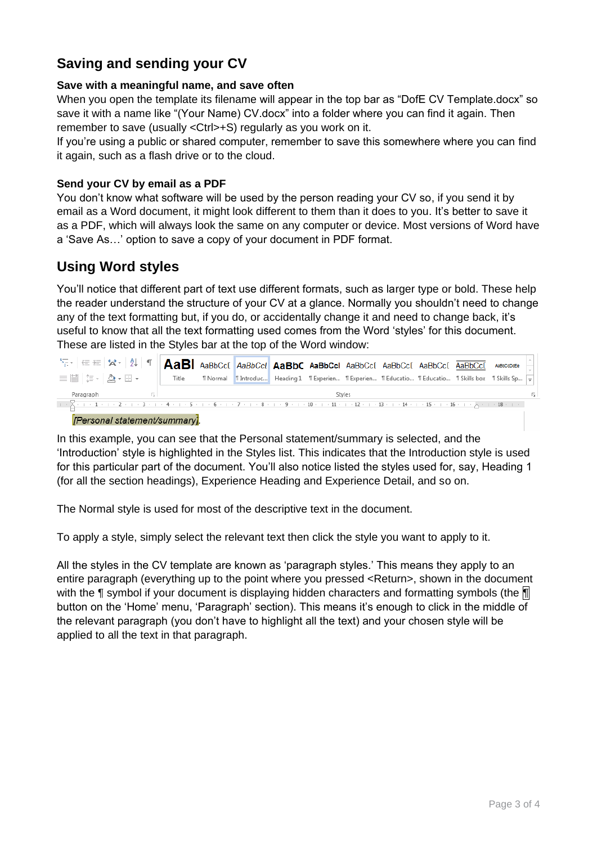## **Saving and sending your CV**

#### **Save with a meaningful name, and save often**

When you open the template its filename will appear in the top bar as "DofE CV Template.docx" so save it with a name like "(Your Name) CV docx" into a folder where you can find it again. Then remember to save (usually <Ctrl>+S) regularly as you work on it.

If you're using a public or shared computer, remember to save this somewhere where you can find it again, such as a flash drive or to the cloud.

#### **Send your CV by email as a PDF**

You don't know what software will be used by the person reading your CV so, if you send it by email as a Word document, it might look different to them than it does to you. It's better to save it as a PDF, which will always look the same on any computer or device. Most versions of Word have a 'Save As…' option to save a copy of your document in PDF format.

### **Using Word styles**

You'll notice that different part of text use different formats, such as larger type or bold. These help the reader understand the structure of your CV at a glance. Normally you shouldn't need to change any of the text formatting but, if you do, or accidentally change it and need to change back, it's useful to know that all the text formatting used comes from the Word 'styles' for this document. These are listed in the Styles bar at the top of the Word window:

| $\ \mathbf{A}_{\overline{z}}\ _{\mathcal{F}}\ _{\mathcal{F}}\leq \mathcal{F}\ \mathbf{A}_{\overline{z}}\ _{\mathcal{F}}$ ( $\ \mathbf{A}_{\overline{z}}\ _{\mathcal{F}}$ ) $\ \mathbf{A}_{\overline{z}}\ _{\mathcal{F}}$ absoccess the dad and $\ \mathbf{A}_{\overline{z}}\ _{\mathcal{F}}$ and $\ \mathbf{A}_{\overline{z}}\ _{\mathcal{F}}$ and $\ \mathbf{A}_{\overline{z}}\ _{\mathcal{F}}$                                                                                                                                                                                                 |        |  |  |  |  |  |  |  |  |  |  |  |  |
|--------------------------------------------------------------------------------------------------------------------------------------------------------------------------------------------------------------------------------------------------------------------------------------------------------------------------------------------------------------------------------------------------------------------------------------------------------------------------------------------------------------------------------------------------------------------------------------------------|--------|--|--|--|--|--|--|--|--|--|--|--|--|
| $\text{EVAL} \setminus \text{Var} \setminus \text{Var} \setminus \text{Var} \setminus \text{Var} \setminus \text{Var} \setminus \text{Var} \setminus \text{Var} \setminus \text{Var} \setminus \text{Var} \setminus \text{Var} \setminus \text{Var} \setminus \text{Var} \setminus \text{Var} \setminus \text{Var} \setminus \text{Var} \setminus \text{Var} \setminus \text{Var} \setminus \text{Var} \setminus \text{Var} \setminus \text{Var} \setminus \text{Var} \setminus \text{Var} \setminus \text{Var} \setminus \text{Var} \setminus \text{Var} \setminus \text{Var} \setminus \text{$ |        |  |  |  |  |  |  |  |  |  |  |  |  |
| Paragraph                                                                                                                                                                                                                                                                                                                                                                                                                                                                                                                                                                                        | Styles |  |  |  |  |  |  |  |  |  |  |  |  |
|                                                                                                                                                                                                                                                                                                                                                                                                                                                                                                                                                                                                  |        |  |  |  |  |  |  |  |  |  |  |  |  |

[Personal statement/summary].

In this example, you can see that the Personal statement/summary is selected, and the 'Introduction' style is highlighted in the Styles list. This indicates that the Introduction style is used for this particular part of the document. You'll also notice listed the styles used for, say, Heading 1 (for all the section headings), Experience Heading and Experience Detail, and so on.

The Normal style is used for most of the descriptive text in the document.

To apply a style, simply select the relevant text then click the style you want to apply to it.

All the styles in the CV template are known as 'paragraph styles.' This means they apply to an entire paragraph (everything up to the point where you pressed <Return>, shown in the document with the **¶** symbol if your document is displaying hidden characters and formatting symbols (the ¶ button on the 'Home' menu, 'Paragraph' section). This means it's enough to click in the middle of the relevant paragraph (you don't have to highlight all the text) and your chosen style will be applied to all the text in that paragraph.